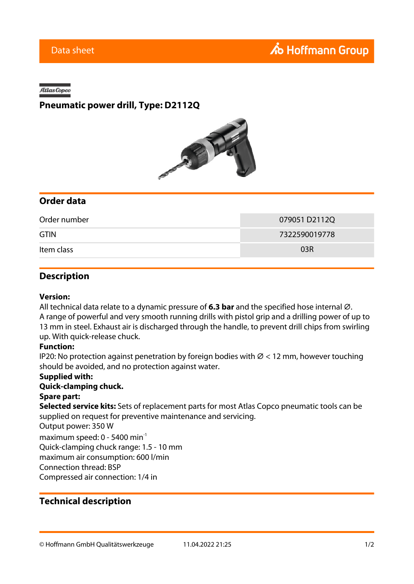#### Atlas Copco

## **Pneumatic power drill, Type: D2112Q**



## **Order data**

| Order number | 079051D2112Q  |
|--------------|---------------|
| <b>GTIN</b>  | 7322590019778 |
| Item class   | 03R           |

### **Description**

#### **Version:**

All technical data relate to a dynamic pressure of **6.3 bar** and the specified hose internal Ø. A range of powerful and very smooth running drills with pistol grip and a drilling power of up to 13 mm in steel. Exhaust air is discharged through the handle, to prevent drill chips from swirling up. With quick-release chuck.

#### **Function:**

IP20: No protection against penetration by foreign bodies with  $\varnothing$  < 12 mm, however touching should be avoided, and no protection against water.

#### **Supplied with:**

#### **Quick-clamping chuck.**

#### **Spare part:**

**Selected service kits:** Sets of replacement parts for most Atlas Copco pneumatic tools can be supplied on request for preventive maintenance and servicing.

Output power: 350 W

maximum speed:  $0 - 5400$  min<sup>-1</sup>

Quick-clamping chuck range: 1.5 - 10 mm

maximum air consumption: 600 l/min

Connection thread: BSP

Compressed air connection: 1/4 in

## **Technical description**